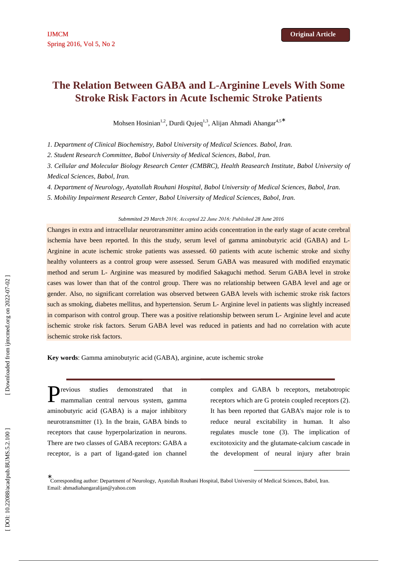# **The Relation Between GABA and L-Arginine Levels With Some Stroke Risk Factors in Acute Ischemic Stroke Patients**

Mohsen Hosinian<sup>1,2</sup>, Durdi Qujeq<sup>1,3</sup>, Alijan Ahmadi Ahangar<sup>4,5\*</sup>

*1. Department of Clinical Biochemistry, Babol University of Medical Sciences. Babol, Iran.* 

*2. Student Research Committee, Babol University of Medical Sciences, Babol, Iran.* 

*3. Cellular and Molecular Biology Research Center (CMBRC), Health Reasearch Institute, Babol University of Medical Sciences, Babol, Iran.* 

*4. Department of Neurology, Ayatollah Rouhani Hospital, Babol University of Medical Sciences, Babol, Iran.* 

*5. Mobility Impairment Research Center, Babol University of Medical Sciences, Babol, Iran.* 

#### *Submmited 29 March 2016; Accepted 22 June 2016; Published 28 June 2016*

Changes in extra and intracellular neurotransmitter amino acids concentration in the early stage of acute cerebral ischemia have been reported. In this the study, serum level of gamma aminobutyric acid (GABA) and L-Arginine in acute ischemic stroke patients was assessed. 60 patients with acute ischemic stroke and sixthy healthy volunteers as a control group were assessed. Serum GABA was measured with modified enzymatic method and serum L- Arginine was measured by modified Sakaguchi method. Serum GABA level in stroke cases was lower than that of the control group. There was no relationship between GABA level and age or gender. Also, no significant correlation was observed between GABA levels with ischemic stroke risk factors such as smoking, diabetes mellitus, and hypertension. Serum L- Arginine level in patients was slightly increased in comparison with control group. There was a positive relationship between serum L- Arginine level and acute ischemic stroke risk factors. Serum GABA level was reduced in patients and had no correlation with acute ischemic stroke risk factors.

**Key words**: Gamma aminobutyric acid (GABA), arginine, acute ischemic stroke

revious studies demonstrated that in mammalian central nervous system, gamma aminobutyric acid (GABA) is a major inhibitory neurotransmitter (1). In the brain, GABA binds to receptors that cause hyperpolarization in neurons. There are two classes of GABA receptors: GABA a receptor, is a part of ligand-gated ion channel P

complex and GABA b receptors, metabotropic receptors which are G protein coupled receptors (2). It has been reported that GABA's major role is to reduce neural excitability in human. It also regulates muscle tone (3). The implication of excitotoxicity and the glutamate-calcium cascade in the development of neural injury after brain

-

<sup>∗</sup> Corresponding author: Department of Neurology, Ayatollah Rouhani Hospital, Babol University of Medical Sciences, Babol, Iran. Email: ahmadiahangaralijan@yahoo.com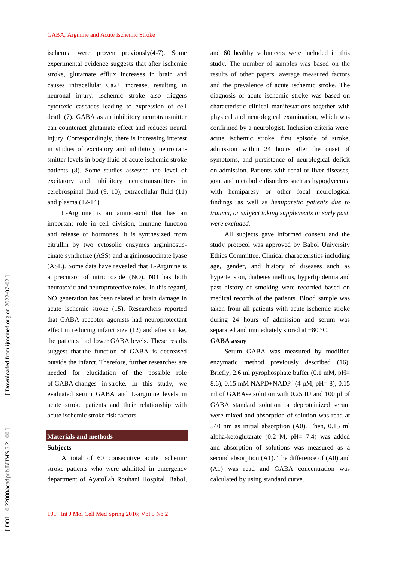ischemia were proven previously(4-7). Some experimental evidence suggests that after ischemic stroke, glutamate efflux increases in brain and causes intracellular Ca2+ increase, resulting in neuronal injury. Ischemic stroke also triggers cytotoxic cascades leading to expression of cell death (7). GABA as an inhibitory neurotransmitter can counteract glutamate effect and reduces neural injury. Correspondingly, there is increasing interest in studies of excitatory and inhibitory neurotransmitter levels in body fluid of acute ischemic stroke patients (8). Some studies assessed the level of excitatory and inhibitory neurotransmitters in cerebrospinal fluid (9, 10), extracellular fluid (11) and plasma (12-14).

L-Arginine is an amino-acid that has an important role in cell division, immune function and release of hormones. It is synthesized from citrullin by two cytosolic enzymes argininosuccinate synthetize (ASS) and argininosuccinate lyase (ASL). Some data have revealed that L-Arginine is a precursor of nitric oxide (NO). NO has both neurotoxic and neuroprotective roles. In this regard, NO generation has been related to brain damage in acute ischemic stroke (15). Researchers reported that GABA receptor agonists had neuroprotectant effect in reducing infarct size (12) and after stroke, the patients had lower GABA levels. These results suggest that the function of GABA is decreased outside the infarct. Therefore, further researches are needed for elucidation of the possible role of GABA changes in stroke. In this study, we evaluated serum GABA and L-arginine levels in acute stroke patients and their relationship with acute ischemic stroke risk factors.

# **Materials and methods**

## **Subjects**

A total of 60 consecutive acute ischemic stroke patients who were admitted in emergency department of Ayatollah Rouhani Hospital, Babol, and 60 healthy volunteers were included in this study. The number of samples was based on the results of other papers, average measured factors and the prevalence of acute ischemic stroke . The diagnosis of acute ischemic stroke was based on characteristic clinical manifestations together with physical and neurological examination, which was confirmed by a neurologist. Inclusion criteria were: acute ischemic stroke, first episode of stroke, admission within 24 hours after the onset of symptoms, and persistence of neurological deficit on admission. Patients with renal or liver diseases, gout and metabolic disorders such as hypoglycemia with hemiparesy or other focal neurological findings, as well as *hemiparetic patients due to trauma, or subject taking supplements in early past, were excluded.*

All subjects gave informed consent and the study protocol was approved by Babol University Ethics Committee. Clinical characteristics including age, gender, and history of diseases such as hypertension, diabetes mellitus, hyperlipidemia and past history of smoking were recorded based on medical records of the patients. Blood sample was taken from all patients with acute ischemic stroke during 24 hours of admission and serum was separated and immediately stored at −80 °C.

## **GABA assay**

Serum GABA was measured by modified enzymatic method previously described (16). Briefly, 2.6 ml pyrophosphate buffer (0.1 mM, pH= 8.6), 0.15 mM NAPD+NADP<sup>+</sup> (4  $\mu$ M, pH= 8), 0.15 ml of GABAse solution with 0.25 IU and 100 µl of GABA standard solution or deproteinized serum were mixed and absorption of solution was read at 540 nm as initial absorption (A0). Then, 0.15 ml alpha-ketoglutarate (0.2 M, pH= 7.4) was added and absorption of solutions was measured as a second absorption (A1). The difference of (A0) and (A1) was read and GABA concentration was calculated by using standard curve.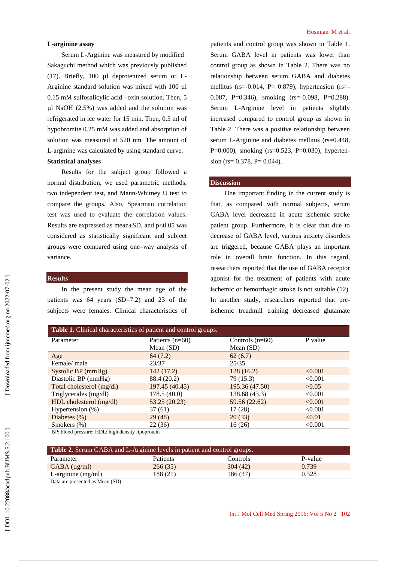## **L-arginine assay**

Serum L-Arginine was measured by modified Sakaguchi method which was previously published (17). Briefly, 100 µl deprotenized serum or L-Arginine standard solution was mixed with 100 µl 0.15 mM sulfosalicylic acid –oxin solution. Then, 5 µl NaOH (2.5%) was added and the solution was refrigerated in ice water for 15 min. Then, 0.5 ml of hypobromite 0.25 mM was added and absorption of solution was measured at 520 nm. The amount of L-arginine was calculated by using standard curve. **Statistical analyses** 

Results for the subject group followed a normal distribution, we used parametric methods, two independent test, and Mann-Whitney U test to compare the groups. Also, Spearman correlation test was used to evaluate the correlation values. Results are expressed as mean $\pm$ SD, and p<0.05 was considered as statistically significant and subject groups were compared using one–way analysis of variance.

## **Results**

In the present study the mean age of the patients was 64 years (SD=7.2) and 23 of the subjects were females. Clinical characteristics of patients and control group was shown in Table 1. Serum GABA level in patients was lower than control group as shown in Table 2. There was no relationship between serum GABA and diabetes mellitus ( $rs = -0.014$ ,  $P = 0.879$ ), hypertension ( $rs = -1$ 0.087, P=0.346), smoking (rs=-0.098, P=0.288). Serum L-Arginine level in patients slightly increased compared to control group as shown in Table 2. There was a positive relationship between serum L-Arginine and diabetes mellitus (rs=0.448, P=0.000), smoking (rs=0.523, P=0.030), hypertension (rs=  $0.378$ , P=  $0.044$ ).

#### **Discussion**

One important finding in the current study is that, as compared with normal subjects, serum GABA level decreased in acute ischemic stroke patient group. Furthermore, it is clear that due to decrease of GABA level, various anxiety disorders are triggered, because GABA plays an important role in overall brain function. In this regard, researchers reported that the use of GABA receptor agonist for the treatment of patients with acute ischemic or hemorrhagic stroke is not suitable (12). In another study, researchers reported that preischemic treadmill training decreased glutamate

| Table 1. Clinical characteristics of patient and control groups. |                   |                   |         |  |
|------------------------------------------------------------------|-------------------|-------------------|---------|--|
| Parameter                                                        | Patients $(n=60)$ | Controls $(n=60)$ | P value |  |
|                                                                  | Mean $(SD)$       | Mean $(SD)$       |         |  |
| Age                                                              | 64(7.2)           | 62(6.7)           |         |  |
| Female/male                                                      | 23/37             | 25/35             |         |  |
| Systolic BP (mmHg)                                               | 142(17.2)         | 128(16.2)         | < 0.001 |  |
| Diastolic BP (mmHg)                                              | 88.4 (20.2)       | 79 (15.3)         | < 0.001 |  |
| Total cholesterol (mg/dl)                                        | 197.45 (40.45)    | 195.36 (47.50)    | >0.05   |  |
| Triglycerides (mg/dl)                                            | 178.5(40.0)       | 138.68 (43.3)     | < 0.001 |  |
| HDL cholesterol (mg/dl)                                          | 53.25(20.23)      | 59.56 (22.62)     | < 0.001 |  |
| Hypertension $(\%)$                                              | 37(61)            | 17(28)            | < 0.001 |  |
| Diabetes $(\%)$                                                  | 29(48)            | 20(33)            | < 0.01  |  |
| Smokers $(\%)$                                                   | 22(36)            | 16(26)            | < 0.001 |  |
| BP: blood pressure; HDL: high density lipoprotein                |                   |                   |         |  |

| <b>Table 2.</b> Serum GABA and L-Arginine levels in patient and control groups. |                 |          |         |  |
|---------------------------------------------------------------------------------|-----------------|----------|---------|--|
| Parameter                                                                       | <b>Patients</b> | Controls | P-value |  |
| $GABA(\mu g/ml)$                                                                | 266(35)         | 304(42)  | 0.739   |  |
| L-arginine $(mg/ml)$                                                            | 188 (21)        | 186 (37) | 0.328   |  |

Data are presented as Mean (SD)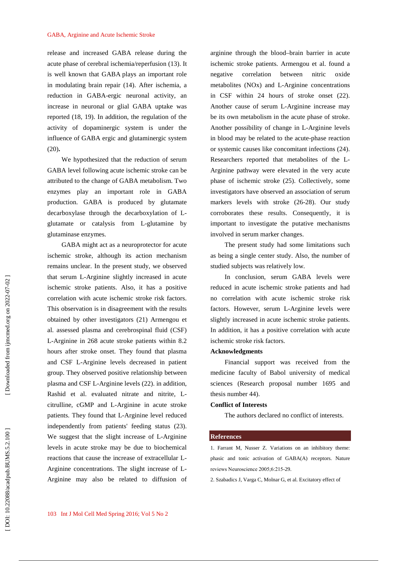release and increased GABA release during the acute phase of cerebral ischemia/reperfusion (13). It is well known that GABA plays an important role in modulating brain repair (14). After ischemia, a reduction in GABA-ergic neuronal activity, an increase in neuronal or glial GABA uptake was reported (18, 19). In addition, the regulation of the activity of dopaminergic system is under the influence of GABA ergic and glutaminergic system (20)**.** 

We hypothesized that the reduction of serum GABA level following acute ischemic stroke can be attributed to the change of GABA metabolism. Two enzymes play an important role in GABA production. GABA is produced by glutamate decarboxylase through the decarboxylation of Lglutamate or catalysis from L-glutamine by glutaminase enzymes.

GABA might act as a neuroprotector for acute ischemic stroke, although its action mechanism remains unclear. In the present study, we observed that serum L-Arginine slightly increased in acute ischemic stroke patients. Also, it has a positive correlation with acute ischemic stroke risk factors. This observation is in disagreement with the results obtained by other investigators (21) Armengou et al. assessed plasma and cerebrospinal fluid (CSF) L-Arginine in 268 acute stroke patients within 8.2 hours after stroke onset. They found that plasma and CSF L-Arginine levels decreased in patient group. They observed positive relationship between plasma and CSF L-Arginine levels (22). in addition, Rashid et al. evaluated nitrate and nitrite, Lcitrulline, cGMP and L-Arginine in acute stroke patients. They found that L-Arginine level reduced independently from patients' feeding status (23). We suggest that the slight increase of L-Arginine levels in acute stroke may be due to biochemical reactions that cause the increase of extracellular L-Arginine concentrations. The slight increase of L-Arginine may also be related to diffusion of arginine through the blood–brain barrier in acute ischemic stroke patients. Armengou et al. found a negative correlation between nitric oxide metabolites (NOx) and L-Arginine concentrations in CSF within 24 hours of stroke onset (22). Another cause of serum L-Arginine increase may be its own metabolism in the acute phase of stroke. Another possibility of change in L-Arginine levels in blood may be related to the acute-phase reaction or systemic causes like concomitant infections (24). Researchers reported that metabolites of the L-Arginine pathway were elevated in the very acute phase of ischemic stroke (25). Collectively, some investigators have observed an association of serum markers levels with stroke (26-28). Our study corroborates these results. Consequently, it is important to investigate the putative mechanisms involved in serum marker changes.

The present study had some limitations such as being a single center study. Also, the number of studied subjects was relatively low.

In conclusion, serum GABA levels were reduced in acute ischemic stroke patients and had no correlation with acute ischemic stroke risk factors. However, serum L-Arginine levels were slightly increased in acute ischemic stroke patients. In addition, it has a positive correlation with acute ischemic stroke risk factors.

### **Acknowledgments**

Financial support was received from the medicine faculty of Babol university of medical sciences (Research proposal number 1695 and thesis number 44).

#### **Conflict of Interests**

The authors declared no conflict of interests.

#### **References**

1. Farrant M, Nusser Z. Variations on an inhibitory theme: phasic and tonic activation of GABA(A) receptors. Nature reviews Neuroscience 2005;6:215-29.

2. Szabadics J, Varga C, Molnar G, et al. Excitatory effect of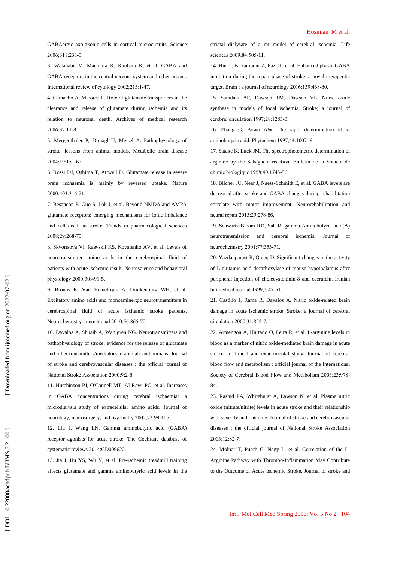GABAergic axo-axonic cells in cortical microcircuits. Science 2006;311:233-5.

3. Watanabe M, Maemura K, Kanbara K, et al. GABA and GABA receptors in the central nervous system and other organs. International review of cytology 2002;213:1-47.

4. Camacho A, Massieu L. Role of glutamate transporters in the clearance and release of glutamate during ischemia and its relation to neuronal death. Archives of medical research 2006;37:11-8.

5. Mergenthaler P, Dirnagl U, Meisel A. Pathophysiology of stroke: lessons from animal models. Metabolic brain disease 2004;19:151-67.

6. Rossi DJ, Oshima T, Attwell D. Glutamate release in severe brain ischaemia is mainly by reversed uptake. Nature 2000;403:316-21.

7. Besancon E, Guo S, Lok J, et al. Beyond NMDA and AMPA glutamate receptors: emerging mechanisms for ionic imbalance and cell death in stroke. Trends in pharmacological sciences 2008;29:268-75.

8. Skvortsova VI, Raevskii KS, Kovalenko AV, et al. Levels of neurotransmitter amino acids in the cerebrospinal fluid of patients with acute ischemic insult. Neuroscience and behavioral physiology 2000;30:491-5.

9. Brouns R, Van Hemelrijck A, Drinkenburg WH, et al. Excitatory amino acids and monoaminergic neurotransmitters in cerebrospinal fluid of acute ischemic stroke patients. Neurochemistry international 2010;56:865-70.

10. Davalos A, Shuaib A, Wahlgren NG. Neurotransmitters and pathophysiology of stroke: evidence for the release of glutamate and other transmitters/mediators in animals and humans. Journal of stroke and cerebrovascular diseases : the official journal of National Stroke Association 2000;9:2-8.

11. Hutchinson PJ, O'Connell MT, Al-Rawi PG, et al. Increases in GABA concentrations during cerebral ischaemia: a microdialysis study of extracellular amino acids. Journal of neurology, neurosurgery, and psychiatry 2002;72:99-105.

12. Liu J, Wang LN. Gamma aminobutyric acid (GABA) receptor agonists for acute stroke. The Cochrane database of systematic reviews 2014:CD009622.

13. Jia J, Hu YS, Wu Y, et al. Pre-ischemic treadmill training affects glutamate and gamma aminobutyric acid levels in the striatal dialysate of a rat model of cerebral ischemia. Life sciences 2009;84:505-11.

14. Hiu T, Farzampour Z, Paz JT, et al. Enhanced phasic GABA inhibition during the repair phase of stroke: a novel therapeutic target. Brain : a journal of neurology 2016;139:468-80.

15. Samdani AF, Dawson TM, Dawson VL. Nitric oxide synthase in models of focal ischemia. Stroke; a journal of cerebral circulation 1997;28:1283-8.

16. Zhang G, Bown AW. The rapid determination of  $γ$ aminobutyric acid. Phytochem 1997;44:1007 -9.

17. Satake K, Luck JM. The spectrophotometric determination of arginine by the Sakaguchi reaction. Bulletin de la Societe de chimie biologique 1958;40:1743-56.

18. Blicher JU, Near J, Naess-Schmidt E, et al. GABA levels are decreased after stroke and GABA changes during rehabilitation correlate with motor improvement. Neurorehabilitation and neural repair 2015;29:278-86.

19. Schwartz-Bloom RD, Sah R. gamma-Aminobutyric acid(A) neurotransmission and cerebral ischemia. Journal of neurochemistry 2001;77:353-71.

20. Yazdanparast R, Qujeq D. Significant changes in the activity of L-glutamic acid decarboxylase of mouse hypothalamus after peripheral injection of cholecystokinin-8 and caerulein. Iranian biomedical journal 1999;3:47-51.

21. Castillo J, Rama R, Davalos A. Nitric oxide-related brain damage in acute ischemic stroke. Stroke; a journal of cerebral circulation 2000;31:852-7.

22. Armengou A, Hurtado O, Leira R, et al. L-arginine levels in blood as a marker of nitric oxide-mediated brain damage in acute stroke: a clinical and experimental study. Journal of cerebral blood flow and metabolism : official journal of the International Society of Cerebral Blood Flow and Metabolism 2003;23:978 - 84.

23. Rashid PA, Whitehurst A, Lawson N, et al. Plasma nitric oxide (nitrate/nitrite) levels in acute stroke and their relationship with severity and outcome. Journal of stroke and cerebrovascular diseases : the official journal of National Stroke Association 2003;12:82-7.

24. Molnar T, Pusch G, Nagy L, et al. Correlation of the L-Arginine Pathway with Thrombo-Inflammation May Contribute to the Outcome of Acute Ischemic Stroke. Journal of stroke and